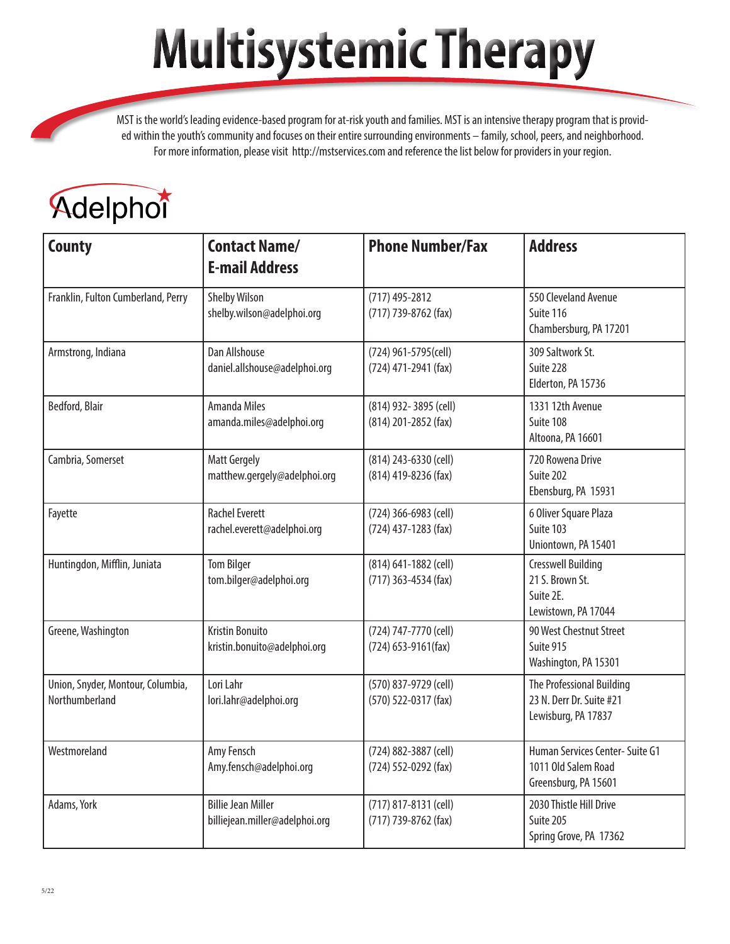## **Multisystemic Therapy**

MST is the world's leading evidence-based program for at-risk youth and families. MST is an intensive therapy program that is provided within the youth's community and focuses on their entire surrounding environments – family, school, peers, and neighborhood. For more information, please visit http://mstservices.com and reference the list below for providers in your region.

## Adelphon

| <b>County</b>                                       | <b>Contact Name/</b><br><b>E-mail Address</b>               | <b>Phone Number/Fax</b>                       | <b>Address</b>                                                                   |
|-----------------------------------------------------|-------------------------------------------------------------|-----------------------------------------------|----------------------------------------------------------------------------------|
| Franklin, Fulton Cumberland, Perry                  | <b>Shelby Wilson</b><br>shelby.wilson@adelphoi.org          | (717) 495-2812<br>(717) 739-8762 (fax)        | 550 Cleveland Avenue<br>Suite 116<br>Chambersburg, PA 17201                      |
| Armstrong, Indiana                                  | Dan Allshouse<br>daniel.allshouse@adelphoi.org              | (724) 961-5795(cell)<br>(724) 471-2941 (fax)  | 309 Saltwork St.<br>Suite 228<br>Elderton, PA 15736                              |
| Bedford, Blair                                      | <b>Amanda Miles</b><br>amanda.miles@adelphoi.org            | (814) 932-3895 (cell)<br>(814) 201-2852 (fax) | 1331 12th Avenue<br>Suite 108<br>Altoona, PA 16601                               |
| Cambria, Somerset                                   | <b>Matt Gergely</b><br>matthew.gergely@adelphoi.org         | (814) 243-6330 (cell)<br>(814) 419-8236 (fax) | 720 Rowena Drive<br>Suite 202<br>Ebensburg, PA 15931                             |
| Fayette                                             | <b>Rachel Everett</b><br>rachel.everett@adelphoi.org        | (724) 366-6983 (cell)<br>(724) 437-1283 (fax) | 6 Oliver Square Plaza<br>Suite 103<br>Uniontown, PA 15401                        |
| Huntingdon, Mifflin, Juniata                        | <b>Tom Bilger</b><br>tom.bilger@adelphoi.org                | (814) 641-1882 (cell)<br>(717) 363-4534 (fax) | <b>Cresswell Building</b><br>21 S. Brown St.<br>Suite 2E.<br>Lewistown, PA 17044 |
| Greene, Washington                                  | <b>Kristin Bonuito</b><br>kristin.bonuito@adelphoi.org      | (724) 747-7770 (cell)<br>(724) 653-9161(fax)  | 90 West Chestnut Street<br>Suite 915<br>Washington, PA 15301                     |
| Union, Snyder, Montour, Columbia,<br>Northumberland | Lori Lahr<br>lori.lahr@adelphoi.org                         | (570) 837-9729 (cell)<br>(570) 522-0317 (fax) | The Professional Building<br>23 N. Derr Dr. Suite #21<br>Lewisburg, PA 17837     |
| Westmoreland                                        | Amy Fensch<br>Amy.fensch@adelphoi.org                       | (724) 882-3887 (cell)<br>(724) 552-0292 (fax) | Human Services Center- Suite G1<br>1011 Old Salem Road<br>Greensburg, PA 15601   |
| Adams, York                                         | <b>Billie Jean Miller</b><br>billiejean.miller@adelphoi.org | (717) 817-8131 (cell)<br>(717) 739-8762 (fax) | 2030 Thistle Hill Drive<br>Suite 205<br>Spring Grove, PA 17362                   |